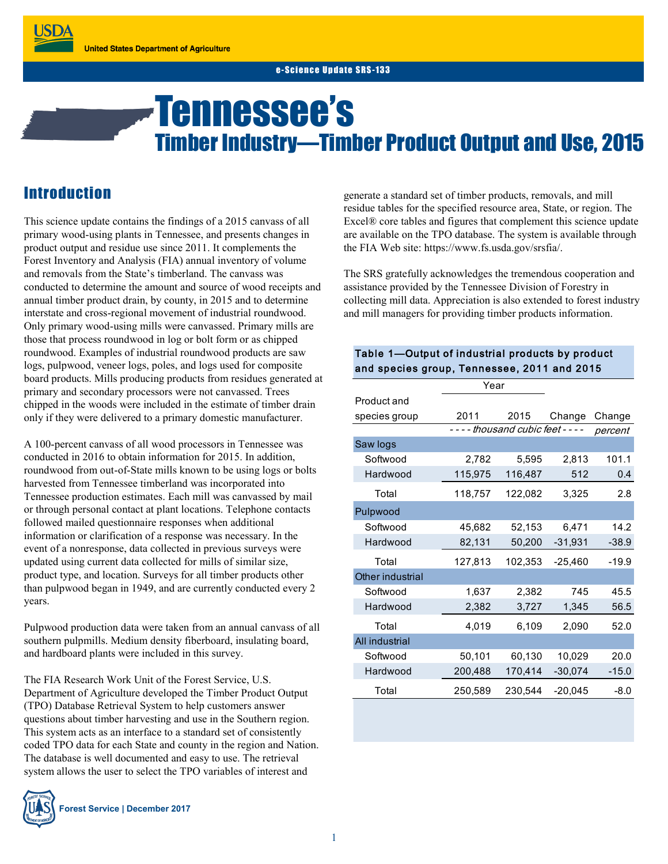# Tennessee's Timber Industry—Timber Product Output and Use, 2015

## **Introduction**

This science update contains the findings of a 2015 canvass of all primary wood-using plants in Tennessee, and presents changes in product output and residue use since 2011. It complements the Forest Inventory and Analysis (FIA) annual inventory of volume and removals from the State's timberland. The canvass was conducted to determine the amount and source of wood receipts and annual timber product drain, by county, in 2015 and to determine interstate and cross-regional movement of industrial roundwood. Only primary wood-using mills were canvassed. Primary mills are those that process roundwood in log or bolt form or as chipped roundwood. Examples of industrial roundwood products are saw logs, pulpwood, veneer logs, poles, and logs used for composite board products. Mills producing products from residues generated at primary and secondary processors were not canvassed. Trees chipped in the woods were included in the estimate of timber drain only if they were delivered to a primary domestic manufacturer.

A 100-percent canvass of all wood processors in Tennessee was conducted in 2016 to obtain information for 2015. In addition, roundwood from out-of-State mills known to be using logs or bolts harvested from Tennessee timberland was incorporated into Tennessee production estimates. Each mill was canvassed by mail or through personal contact at plant locations. Telephone contacts followed mailed questionnaire responses when additional information or clarification of a response was necessary. In the event of a nonresponse, data collected in previous surveys were updated using current data collected for mills of similar size, product type, and location. Surveys for all timber products other than pulpwood began in 1949, and are currently conducted every 2 years.

Pulpwood production data were taken from an annual canvass of all southern pulpmills. Medium density fiberboard, insulating board, and hardboard plants were included in this survey.

The FIA Research Work Unit of the Forest Service, U.S. Department of Agriculture developed the Timber Product Output (TPO) Database Retrieval System to help customers answer questions about timber harvesting and use in the Southern region. This system acts as an interface to a standard set of consistently coded TPO data for each State and county in the region and Nation. The database is well documented and easy to use. The retrieval system allows the user to select the TPO variables of interest and



generate a standard set of timber products, removals, and mill residue tables for the specified resource area, State, or region. The Excel® core tables and figures that complement this science update are available on the TPO database. The system is available through the FIA Web site: https://www.fs.usda.gov/srsfia/.

The SRS gratefully acknowledges the tremendous cooperation and assistance provided by the Tennessee Division of Forestry in collecting mill data. Appreciation is also extended to forest industry and mill managers for providing timber products information.

#### Table 1—Output of industrial products by product and species group, Tennessee, 2011 and 2015

|                  | Year                          |         |           |         |
|------------------|-------------------------------|---------|-----------|---------|
| Product and      |                               |         |           |         |
| species group    | 2011                          | 2015    | Change    | Change  |
|                  | - thousand cubic feet - - - - |         |           | percent |
| Saw logs         |                               |         |           |         |
| Softwood         | 2,782                         | 5,595   | 2,813     | 101.1   |
| Hardwood         | 115,975                       | 116,487 | 512       | 0.4     |
| Total            | 118,757                       | 122,082 | 3,325     | 2.8     |
| Pulpwood         |                               |         |           |         |
| Softwood         | 45,682                        | 52,153  | 6,471     | 14.2    |
| Hardwood         | 82,131                        | 50,200  | $-31,931$ | $-38.9$ |
| Total            | 127,813                       | 102,353 | $-25,460$ | $-19.9$ |
| Other industrial |                               |         |           |         |
| Softwood         | 1,637                         | 2,382   | 745       | 45.5    |
| Hardwood         | 2,382                         | 3,727   | 1,345     | 56.5    |
| Total            | 4,019                         | 6,109   | 2,090     | 52.0    |
| All industrial   |                               |         |           |         |
| Softwood         | 50,101                        | 60,130  | 10,029    | 20.0    |
| Hardwood         | 200,488                       | 170,414 | $-30,074$ | $-15.0$ |
| Total            | 250,589                       | 230,544 | $-20,045$ | $-8.0$  |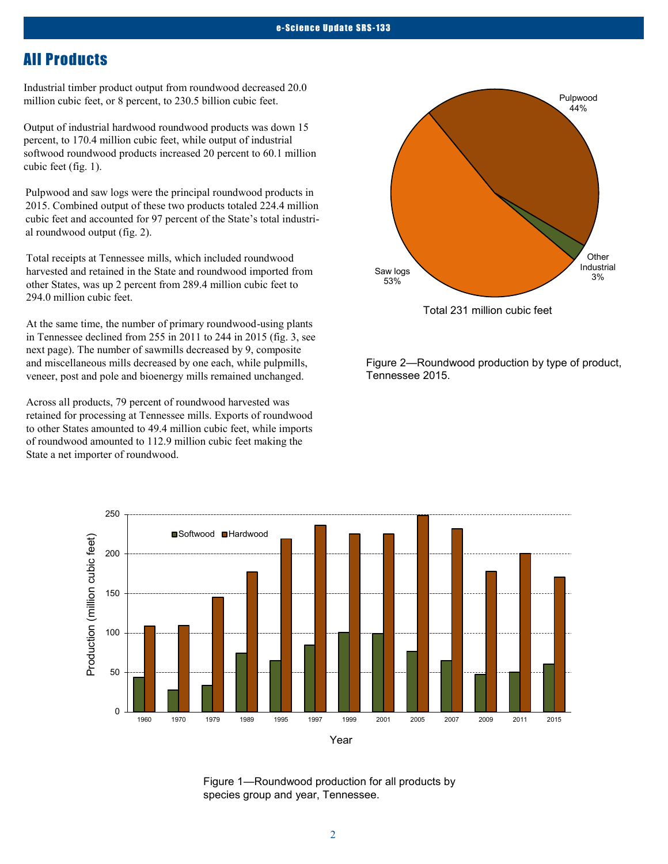### All Products

Industrial timber product output from roundwood decreased 20.0 million cubic feet, or 8 percent, to 230.5 billion cubic feet.

Output of industrial hardwood roundwood products was down 15 percent, to 170.4 million cubic feet, while output of industrial softwood roundwood products increased 20 percent to 60.1 million cubic feet (fig. 1).

Pulpwood and saw logs were the principal roundwood products in 2015. Combined output of these two products totaled 224.4 million cubic feet and accounted for 97 percent of the State's total industrial roundwood output (fig. 2).

Total receipts at Tennessee mills, which included roundwood harvested and retained in the State and roundwood imported from other States, was up 2 percent from 289.4 million cubic feet to 294.0 million cubic feet.

At the same time, the number of primary roundwood-using plants in Tennessee declined from 255 in 2011 to 244 in 2015 (fig. 3, see next page). The number of sawmills decreased by 9, composite and miscellaneous mills decreased by one each, while pulpmills, veneer, post and pole and bioenergy mills remained unchanged.

Across all products, 79 percent of roundwood harvested was retained for processing at Tennessee mills. Exports of roundwood to other States amounted to 49.4 million cubic feet, while imports of roundwood amounted to 112.9 million cubic feet making the State a net importer of roundwood.



Figure 2—Roundwood production by type of product, Tennessee 2015.



Year

Figure 1—Roundwood production for all products by species group and year, Tennessee.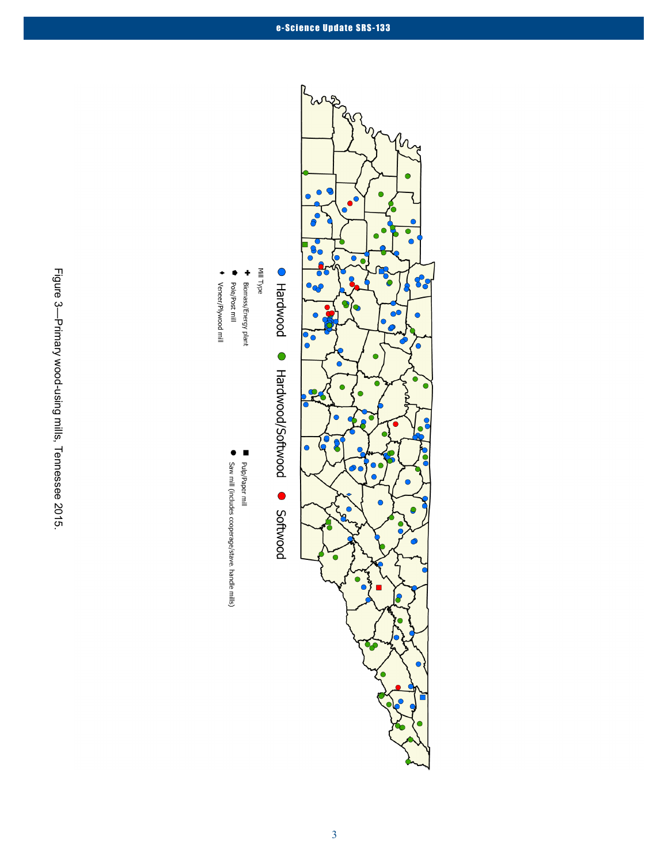

◆ Veneer/Plywood mill

Saw mill (includes cooperage/stave, handle mills)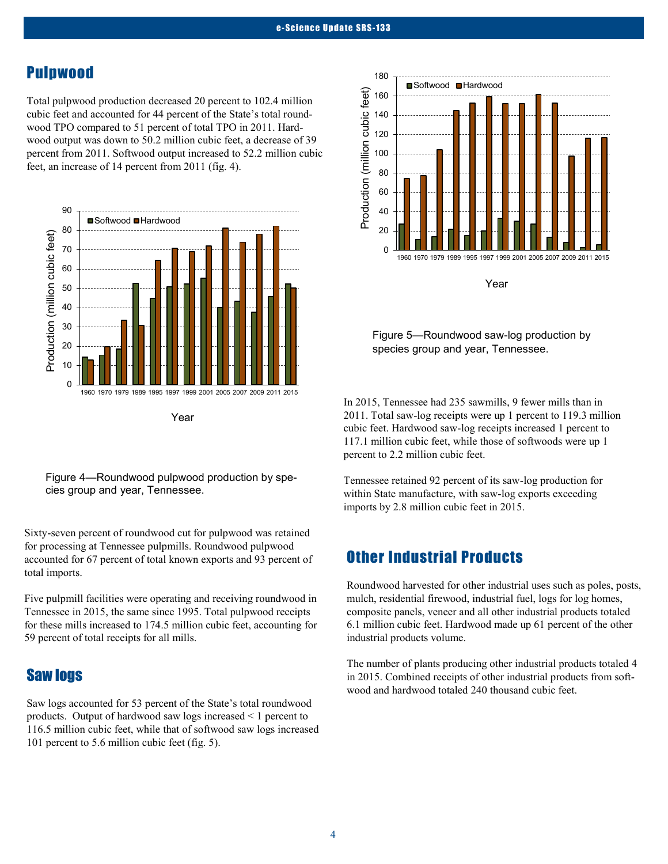#### Pulpwood

Total pulpwood production decreased 20 percent to 102.4 million cubic feet and accounted for 44 percent of the State's total roundwood TPO compared to 51 percent of total TPO in 2011. Hardwood output was down to 50.2 million cubic feet, a decrease of 39 percent from 2011. Softwood output increased to 52.2 million cubic feet, an increase of 14 percent from 2011 (fig. 4).



Figure 4—Roundwood pulpwood production by species group and year, Tennessee.

Sixty-seven percent of roundwood cut for pulpwood was retained for processing at Tennessee pulpmills. Roundwood pulpwood accounted for 67 percent of total known exports and 93 percent of total imports.

Five pulpmill facilities were operating and receiving roundwood in Tennessee in 2015, the same since 1995. Total pulpwood receipts for these mills increased to 174.5 million cubic feet, accounting for 59 percent of total receipts for all mills.

#### Saw logs

Saw logs accounted for 53 percent of the State's total roundwood products. Output of hardwood saw logs increased < 1 percent to 116.5 million cubic feet, while that of softwood saw logs increased 101 percent to 5.6 million cubic feet (fig. 5).



Figure 5—Roundwood saw-log production by species group and year, Tennessee.

In 2015, Tennessee had 235 sawmills, 9 fewer mills than in 2011. Total saw-log receipts were up 1 percent to 119.3 million cubic feet. Hardwood saw-log receipts increased 1 percent to 117.1 million cubic feet, while those of softwoods were up 1 percent to 2.2 million cubic feet.

Tennessee retained 92 percent of its saw-log production for within State manufacture, with saw-log exports exceeding imports by 2.8 million cubic feet in 2015.

## Other Industrial Products

Roundwood harvested for other industrial uses such as poles, posts, mulch, residential firewood, industrial fuel, logs for log homes, composite panels, veneer and all other industrial products totaled 6.1 million cubic feet. Hardwood made up 61 percent of the other industrial products volume.

The number of plants producing other industrial products totaled 4 in 2015. Combined receipts of other industrial products from softwood and hardwood totaled 240 thousand cubic feet.